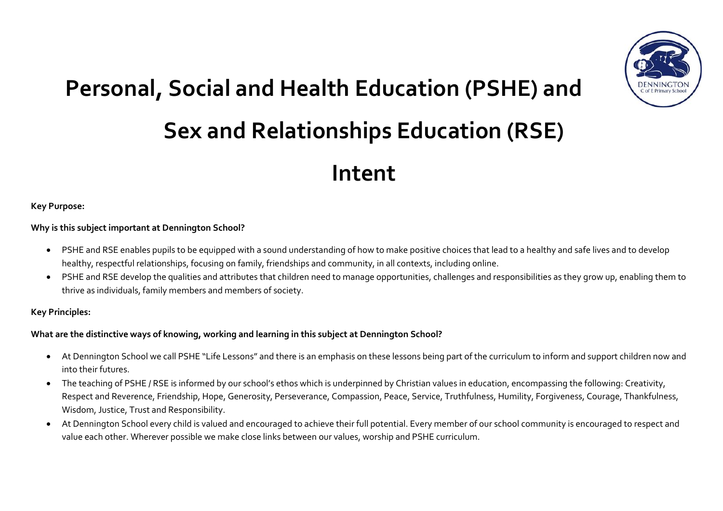# **Personal, Social and Health Education (PSHE) and Sex and Relationships Education (RSE) Intent**

**Key Purpose:**

#### **Why is this subject important at Dennington School?**

- PSHE and RSE enables pupils to be equipped with a sound understanding of how to make positive choices that lead to a healthy and safe lives and to develop healthy, respectful relationships, focusing on family, friendships and community, in all contexts, including online.
- PSHE and RSE develop the qualities and attributes that children need to manage opportunities, challenges and responsibilities as they grow up, enabling them to thrive as individuals, family members and members of society.

### **Key Principles:**

### **What are the distinctive ways of knowing, working and learning in this subject at Dennington School?**

- At Dennington School we call PSHE "Life Lessons" and there is an emphasis on these lessons being part of the curriculum to inform and support children now and into their futures.
- The teaching of PSHE / RSE is informed by our school's ethos which is underpinned by Christian values in education, encompassing the following: Creativity, Respect and Reverence, Friendship, Hope, Generosity, Perseverance, Compassion, Peace, Service, Truthfulness, Humility, Forgiveness, Courage, Thankfulness, Wisdom, Justice, Trust and Responsibility.
- At Dennington School every child is valued and encouraged to achieve their full potential. Every member of our school community is encouraged to respect and value each other. Wherever possible we make close links between our values, worship and PSHE curriculum.